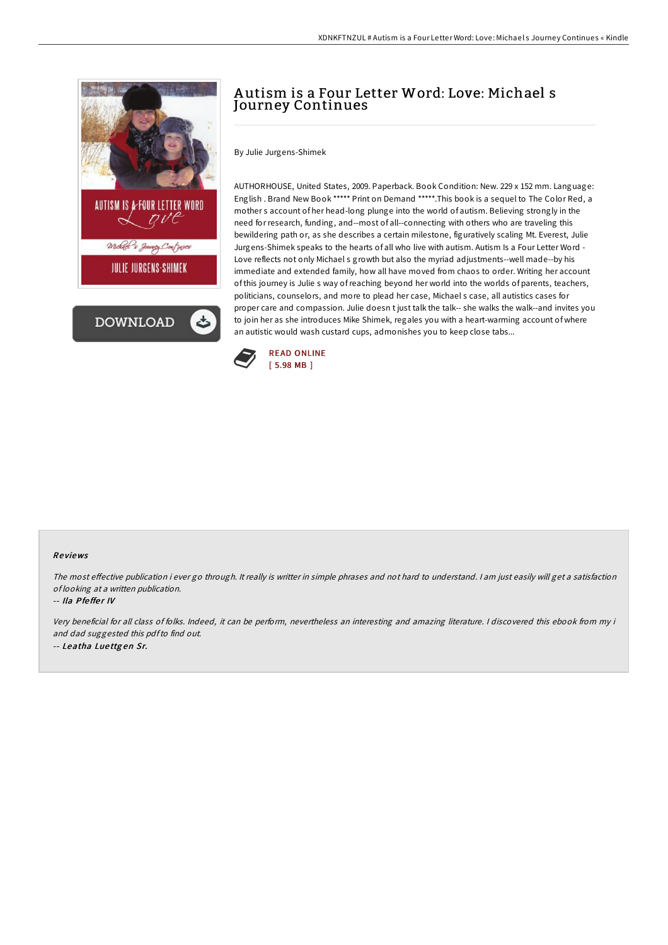

AUTHORHOUSE, United States, 2009. Paperback. Book Condition: New. 229 x 152 mm. Language: English . Brand New Book \*\*\*\*\* Print on Demand \*\*\*\*\*.This book is a sequel to The Color Red, a mother s account of her head-long plunge into the world of autism. Believing strongly in the need for research, funding, and--most of all--connecting with others who are traveling this bewildering path or, as she describes a certain milestone, figuratively scaling Mt. Everest, Julie Jurgens-Shimek speaks to the hearts of all who live with autism. Autism Is a Four Letter Word - Love reflects not only Michael s growth but also the myriad adjustments--well made--by his immediate and extended family, how all have moved from chaos to order. Writing her account of this journey is Julie s way ofreaching beyond her world into the worlds of parents, teachers, politicians, counselors, and more to plead her case, Michael s case, all autistics cases for proper care and compassion. Julie doesn t just talk the talk-- she walks the walk--and invites you to join her as she introduces Mike Shimek, regales you with a heart-warming account of where an autistic would wash custard cups, admonishes you to keep close tabs...

A utism is a Four Letter Word: Love: Michael s



Journey Continues

By Julie Jurgens-Shimek

### Re views

The most effective publication i ever go through. It really is writter in simple phrases and not hard to understand. I am just easily will get a satisfaction of looking at <sup>a</sup> written publication.

#### -- Ila Pfeffer IV

Very beneficial for all class of folks. Indeed, it can be perform, nevertheless an interesting and amazing literature. <sup>I</sup> discovered this ebook from my i and dad suggested this pdfto find out. -- Leatha Lue ttg en Sr.